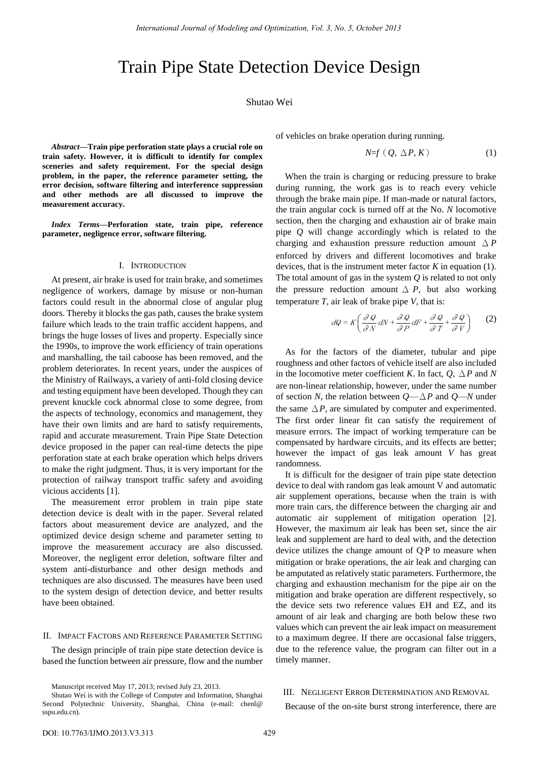# Train Pipe State Detection Device Design

## Shutao Wei

*Abstract—***Train pipe perforation state plays a crucial role on train safety. However, it is difficult to identify for complex sceneries and safety requirement. For the special design problem, in the paper, the reference parameter setting, the error decision, software filtering and interference suppression and other methods are all discussed to improve the measurement accuracy.** 

*Index Terms—***Perforation state, train pipe, reference parameter, negligence error, software filtering.** 

#### I. INTRODUCTION

At present, air brake is used for train brake, and sometimes negligence of workers, damage by misuse or non-human factors could result in the abnormal close of angular plug doors. Thereby it blocks the gas path, causes the brake system failure which leads to the train traffic accident happens, and brings the huge losses of lives and property. Especially since the 1990s, to improve the work efficiency of train operations and marshalling, the tail caboose has been removed, and the problem deteriorates. In recent years, under the auspices of the Ministry of Railways, a variety of anti-fold closing device and testing equipment have been developed. Though they can prevent knuckle cock abnormal close to some degree, from the aspects of technology, economics and management, they have their own limits and are hard to satisfy requirements, rapid and accurate measurement. Train Pipe State Detection device proposed in the paper can real-time detects the pipe perforation state at each brake operation which helps drivers to make the right judgment. Thus, it is very important for the protection of railway transport traffic safety and avoiding vicious accidents [1].

The measurement error problem in train pipe state detection device is dealt with in the paper. Several related factors about measurement device are analyzed, and the optimized device design scheme and parameter setting to improve the measurement accuracy are also discussed. Moreover, the negligent error deletion, software filter and system anti-disturbance and other design methods and techniques are also discussed. The measures have been used to the system design of detection device, and better results have been obtained.

## II. IMPACT FACTORS AND REFERENCE PARAMETER SETTING

The design principle of train pipe state detection device is based the function between air pressure, flow and the number of vehicles on brake operation during running.

$$
N=f(Q, \Delta P, K) \tag{1}
$$

When the train is charging or reducing pressure to brake during running, the work gas is to reach every vehicle through the brake main pipe. If man-made or natural factors, the train angular cock is turned off at the No. *N* locomotive section, then the charging and exhaustion air of brake main pipe *Q* will change accordingly which is related to the charging and exhaustion pressure reduction amount Δ*P* enforced by drivers and different locomotives and brake devices, that is the instrument meter factor *K* in equation (1). The total amount of gas in the system *Q* is related to not only the pressure reduction amount  $\Delta P$ , but also working temperature *T*, air leak of brake pipe *V*, that is:

$$
dQ = K \left( \frac{\partial Q}{\partial N} dN + \frac{\partial Q}{\partial P} dF + \frac{\partial Q}{\partial T} + \frac{\partial Q}{\partial V} \right) \tag{2}
$$

As for the factors of the diameter, tubular and pipe roughness and other factors of vehicle itself are also included in the locomotive meter coefficient *K*. In fact,  $Q$ ,  $\Delta P$  and *N* are non-linear relationship, however, under the same number of section *N*, the relation between *Q*—Δ*P* and *Q*—*N* under the same  $\Delta P$ , are simulated by computer and experimented. The first order linear fit can satisfy the requirement of measure errors. The impact of working temperature can be compensated by hardware circuits, and its effects are better; however the impact of gas leak amount *V* has great randomness.

It is difficult for the designer of train pipe state detection device to deal with random gas leak amount V and automatic air supplement operations, because when the train is with more train cars, the difference between the charging air and automatic air supplement of mitigation operation [2]. However, the maximum air leak has been set, since the air leak and supplement are hard to deal with, and the detection device utilizes the change amount of Q·P to measure when mitigation or brake operations, the air leak and charging can be amputated as relatively static parameters. Furthermore, the charging and exhaustion mechanism for the pipe air on the mitigation and brake operation are different respectively, so the device sets two reference values EH and EZ, and its amount of air leak and charging are both below these two values which can prevent the air leak impact on measurement to a maximum degree. If there are occasional false triggers, due to the reference value, the program can filter out in a timely manner.

#### III. NEGLIGENT ERROR DETERMINATION AND REMOVAL

Because of the on-site burst strong interference, there are

Manuscript received May 17, 2013; revised July 23, 2013.

Shutao Wei is with the College of Computer and Information, Shanghai Second Polytechnic University, Shanghai, China (e-mail: chenl@ sspu.edu.cn).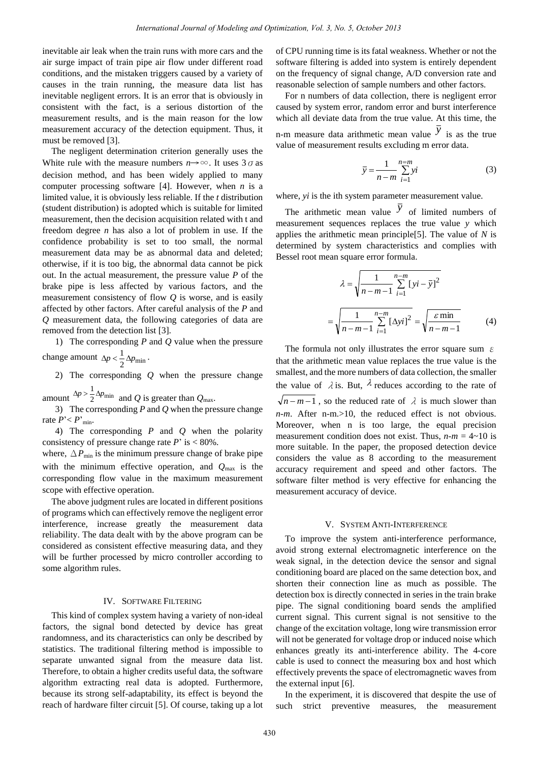inevitable air leak when the train runs with more cars and the air surge impact of train pipe air flow under different road conditions, and the mistaken triggers caused by a variety of causes in the train running, the measure data list has inevitable negligent errors. It is an error that is obviously in consistent with the fact, is a serious distortion of the measurement results, and is the main reason for the low measurement accuracy of the detection equipment. Thus, it must be removed [3].

The negligent determination criterion generally uses the White rule with the measure numbers  $n \rightarrow \infty$ . It uses  $3 \sigma$  as decision method, and has been widely applied to many computer processing software [4]. However, when *n* is a limited value, it is obviously less reliable. If the *t* distribution (student distribution) is adopted which is suitable for limited measurement, then the decision acquisition related with t and freedom degree *n* has also a lot of problem in use. If the confidence probability is set to too small, the normal measurement data may be as abnormal data and deleted; otherwise, if it is too big, the abnormal data cannot be pick out. In the actual measurement, the pressure value *P* of the brake pipe is less affected by various factors, and the measurement consistency of flow *Q* is worse, and is easily affected by other factors. After careful analysis of the *P* and *Q* measurement data, the following categories of data are removed from the detection list [3].

1) The corresponding *P* and *Q* value when the pressure change amount  $\Delta p < \frac{1}{2} \Delta p_{\text{min}}$ .

2) The corresponding *Q* when the pressure change

amount  $\frac{\Delta p}{2} \geq \frac{\Delta p_{\min}}{2}$  $\Delta p > \frac{1}{2} \Delta p_{\text{min}}$  and *Q* is greater than  $Q_{\text{max}}$ .

3) The corresponding *P* and *Q* when the pressure change rate  $P' < P'_{\text{min}}$ .

4) The corresponding *P* and *Q* when the polarity consistency of pressure change rate  $P'$  is  $< 80\%$ .

where,  $\Delta P_{\text{min}}$  is the minimum pressure change of brake pipe with the minimum effective operation, and  $Q_{\text{max}}$  is the corresponding flow value in the maximum measurement scope with effective operation.

The above judgment rules are located in different positions of programs which can effectively remove the negligent error interference, increase greatly the measurement data reliability. The data dealt with by the above program can be considered as consistent effective measuring data, and they will be further processed by micro controller according to some algorithm rules.

### IV. SOFTWARE FILTERING

This kind of complex system having a variety of non-ideal factors, the signal bond detected by device has great randomness, and its characteristics can only be described by statistics. The traditional filtering method is impossible to separate unwanted signal from the measure data list. Therefore, to obtain a higher credits useful data, the software algorithm extracting real data is adopted. Furthermore, because its strong self-adaptability, its effect is beyond the reach of hardware filter circuit [5]. Of course, taking up a lot of CPU running time is its fatal weakness. Whether or not the software filtering is added into system is entirely dependent on the frequency of signal change, A/D conversion rate and reasonable selection of sample numbers and other factors.

For n numbers of data collection, there is negligent error caused by system error, random error and burst interference which all deviate data from the true value. At this time, the n-m measure data arithmetic mean value  $\bar{y}$  is as the true value of measurement results excluding m error data.

$$
\overline{y} = \frac{1}{n-m} \sum_{i=1}^{n=m} yi
$$
 (3)

where, *yi* is the ith system parameter measurement value.

The arithmetic mean value  $\overline{y}$  of limited numbers of measurement sequences replaces the true value *y* which applies the arithmetic mean principle[5]. The value of *N* is determined by system characteristics and complies with Bessel root mean square error formula.

$$
\lambda = \sqrt{\frac{1}{n - m - 1} \sum_{i=1}^{n - m} [yi - \bar{y}]^2}
$$

$$
= \sqrt{\frac{1}{n - m - 1} \sum_{i=1}^{n - m} [\Delta yi]^2} = \sqrt{\frac{\varepsilon \min}{n - m - 1}}
$$
(4)

The formula not only illustrates the error square sum  $\varepsilon$ that the arithmetic mean value replaces the true value is the smallest, and the more numbers of data collection, the smaller the value of  $\lambda$  is. But,  $\lambda$  reduces according to the rate of  $\sqrt{n-m-1}$ , so the reduced rate of  $\lambda$  is much slower than *n*-*m*. After n-m.>10, the reduced effect is not obvious. Moreover, when n is too large, the equal precision measurement condition does not exist. Thus,  $n-m = 4 \sim 10$  is more suitable. In the paper, the proposed detection device considers the value as 8 according to the measurement accuracy requirement and speed and other factors. The software filter method is very effective for enhancing the measurement accuracy of device.

#### V. SYSTEM ANTI-INTERFERENCE

To improve the system anti-interference performance, avoid strong external electromagnetic interference on the weak signal, in the detection device the sensor and signal conditioning board are placed on the same detection box, and shorten their connection line as much as possible. The detection box is directly connected in series in the train brake pipe. The signal conditioning board sends the amplified current signal. This current signal is not sensitive to the change of the excitation voltage, long wire transmission error will not be generated for voltage drop or induced noise which enhances greatly its anti-interference ability. The 4-core cable is used to connect the measuring box and host which effectively prevents the space of electromagnetic waves from the external input [6].

In the experiment, it is discovered that despite the use of such strict preventive measures, the measurement